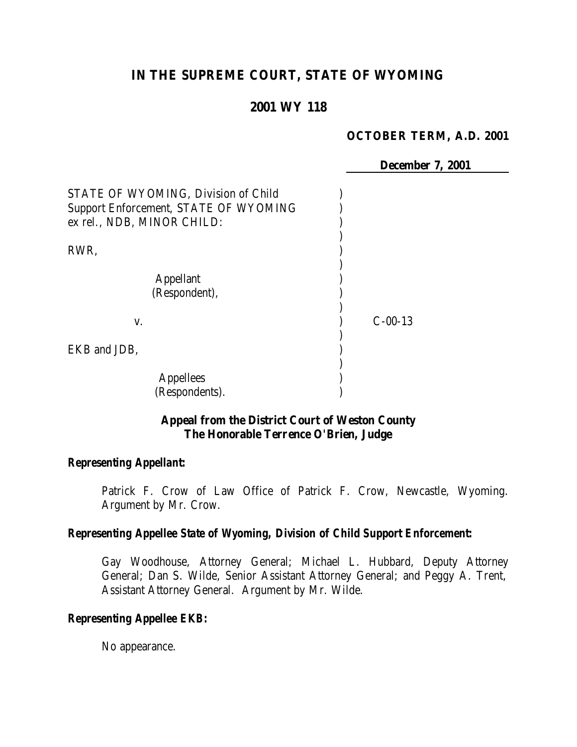# **IN THE SUPREME COURT, STATE OF WYOMING**

### **2001 WY 118**

#### **OCTOBER TERM, A.D. 2001**

**December 7, 2001**

| STATE OF WYOMING, Division of Child<br>Support Enforcement, STATE OF WYOMING<br>ex rel., NDB, MINOR CHILD: |           |  |
|------------------------------------------------------------------------------------------------------------|-----------|--|
| RWR,                                                                                                       |           |  |
| <b>Appellant</b><br>(Respondent),                                                                          |           |  |
| V.                                                                                                         | $C-00-13$ |  |
| EKB and JDB,                                                                                               |           |  |
| <b>Appellees</b><br>(Respondents).                                                                         |           |  |

### **Appeal from the District Court of Weston County The Honorable Terrence O'Brien, Judge**

#### *Representing Appellant:*

Patrick F. Crow of Law Office of Patrick F. Crow, Newcastle, Wyoming. Argument by Mr. Crow.

### *Representing Appellee State of Wyoming, Division of Child Support Enforcement:*

Gay Woodhouse, Attorney General; Michael L. Hubbard, Deputy Attorney General; Dan S. Wilde, Senior Assistant Attorney General; and Peggy A. Trent, Assistant Attorney General. Argument by Mr. Wilde.

#### *Representing Appellee EKB:*

No appearance.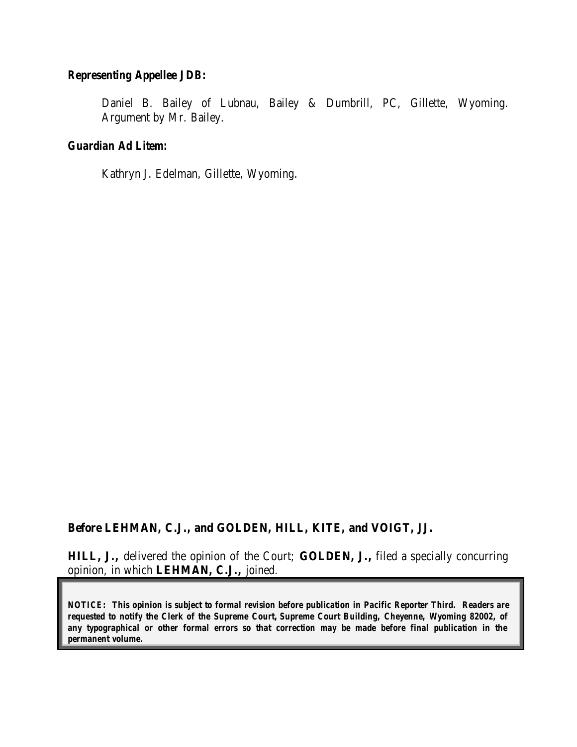#### *Representing Appellee JDB:*

Daniel B. Bailey of Lubnau, Bailey & Dumbrill, PC, Gillette, Wyoming. Argument by Mr. Bailey.

### *Guardian Ad Litem:*

Kathryn J. Edelman, Gillette, Wyoming.

### **Before LEHMAN, C.J., and GOLDEN, HILL, KITE, and VOIGT, JJ.**

**HILL, J.,** delivered the opinion of the Court; **GOLDEN, J.,** filed a specially concurring opinion, in which **LEHMAN, C.J.,** joined.

*NOTICE: This opinion is subject to formal revision before publication in Pacific Reporter Third. Readers are requested to notify the Clerk of the Supreme Court, Supreme Court Building, Cheyenne, Wyoming 82002, of any typographical or other formal errors so that correction may be made before final publication in the permanent volume.*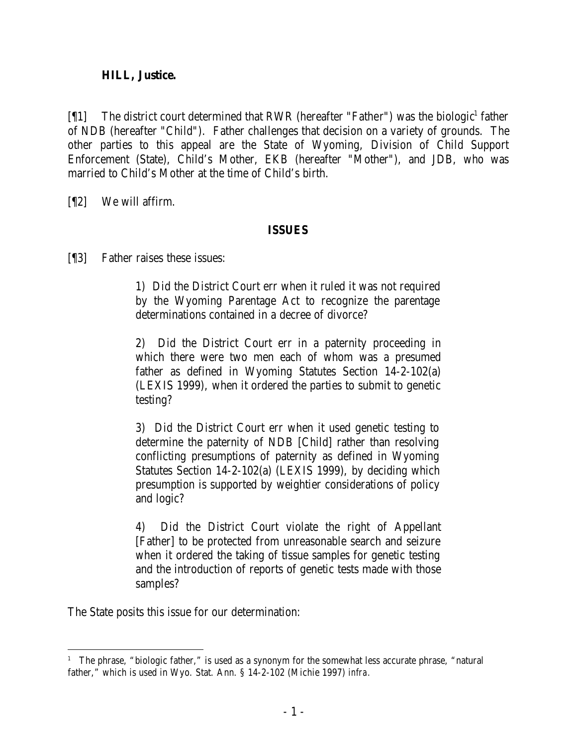### **HILL, Justice.**

 $[$ [1] The district court determined that RWR (hereafter "Father") was the biologic<sup>1</sup> father of NDB (hereafter "Child"). Father challenges that decision on a variety of grounds. The other parties to this appeal are the State of Wyoming, Division of Child Support Enforcement (State), Child's Mother, EKB (hereafter "Mother"), and JDB, who was married to Child's Mother at the time of Child's birth.

[¶2] We will affirm.

## **ISSUES**

[¶3] Father raises these issues:

1) Did the District Court err when it ruled it was not required by the Wyoming Parentage Act to recognize the parentage determinations contained in a decree of divorce?

2) Did the District Court err in a paternity proceeding in which there were two men each of whom was a presumed father as defined in Wyoming Statutes Section 14-2-102(a) (LEXIS 1999), when it ordered the parties to submit to genetic testing?

3) Did the District Court err when it used genetic testing to determine the paternity of NDB [Child] rather than resolving conflicting presumptions of paternity as defined in Wyoming Statutes Section 14-2-102(a) (LEXIS 1999), by deciding which presumption is supported by weightier considerations of policy and logic?

4) Did the District Court violate the right of Appellant [Father] to be protected from unreasonable search and seizure when it ordered the taking of tissue samples for genetic testing and the introduction of reports of genetic tests made with those samples?

The State posits this issue for our determination:

<sup>&</sup>lt;sup>1</sup> The phrase, "biologic father," is used as a synonym for the somewhat less accurate phrase, "natural" father," which is used in Wyo. Stat. Ann. § 14-2-102 (Michie 1997) *infra.*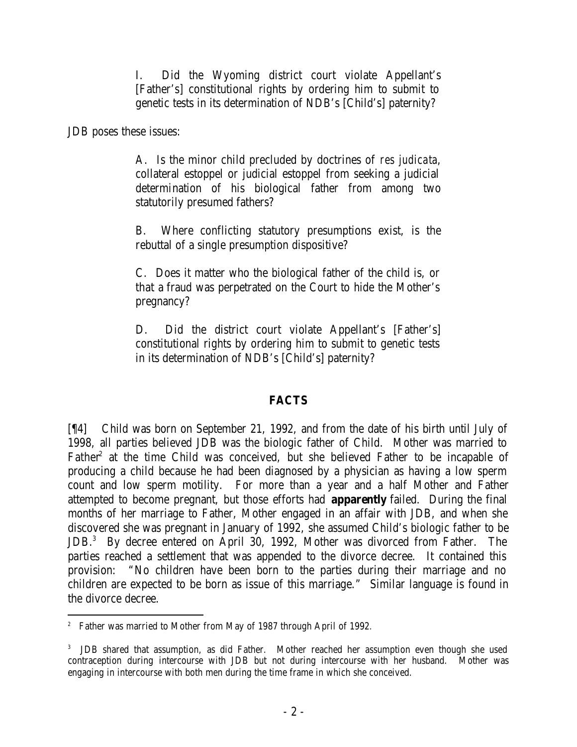I. Did the Wyoming district court violate Appellant's [Father's] constitutional rights by ordering him to submit to genetic tests in its determination of NDB's [Child's] paternity?

JDB poses these issues:

A. Is the minor child precluded by doctrines of *res judicata*, collateral estoppel or judicial estoppel from seeking a judicial determination of his biological father from among two statutorily presumed fathers?

B. Where conflicting statutory presumptions exist, is the rebuttal of a single presumption dispositive?

C. Does it matter who the biological father of the child is, or that a fraud was perpetrated on the Court to hide the Mother's pregnancy?

D. Did the district court violate Appellant's [Father's] constitutional rights by ordering him to submit to genetic tests in its determination of NDB's [Child's] paternity?

# **FACTS**

[¶4] Child was born on September 21, 1992, and from the date of his birth until July of 1998, all parties believed JDB was the biologic father of Child. Mother was married to Father<sup>2</sup> at the time Child was conceived, but she believed Father to be incapable of producing a child because he had been diagnosed by a physician as having a low sperm count and low sperm motility. For more than a year and a half Mother and Father attempted to become pregnant, but those efforts had **apparently** failed. During the final months of her marriage to Father, Mother engaged in an affair with JDB, and when she discovered she was pregnant in January of 1992, she assumed Child's biologic father to be JDB.<sup>3</sup> By decree entered on April 30, 1992, Mother was divorced from Father. The parties reached a settlement that was appended to the divorce decree. It contained this provision: "No children have been born to the parties during their marriage and no children are expected to be born as issue of this marriage." Similar language is found in the divorce decree.

 <sup>2</sup> Father was married to Mother from May of 1987 through April of 1992.

<sup>3</sup> JDB shared that assumption, as did Father. Mother reached her assumption even though she used contraception during intercourse with JDB but not during intercourse with her husband. Mother was engaging in intercourse with both men during the time frame in which she conceived.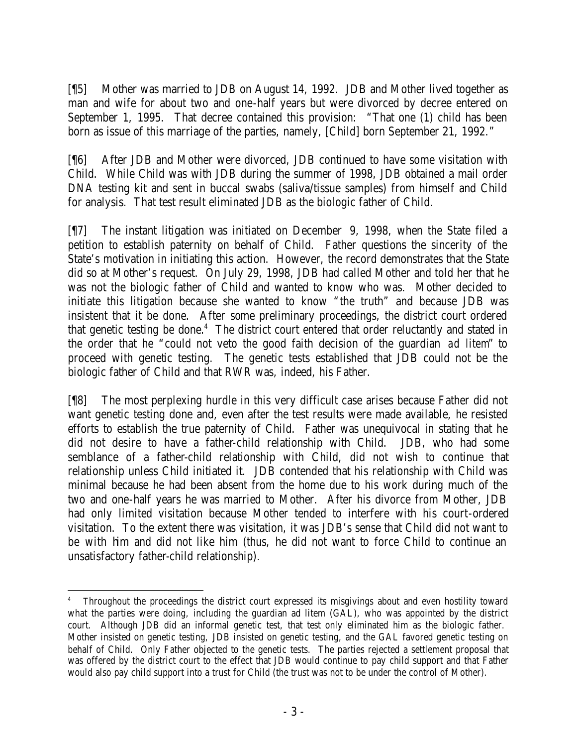[¶5] Mother was married to JDB on August 14, 1992. JDB and Mother lived together as man and wife for about two and one-half years but were divorced by decree entered on September 1, 1995. That decree contained this provision: "That one (1) child has been born as issue of this marriage of the parties, namely, [Child] born September 21, 1992."

[¶6] After JDB and Mother were divorced, JDB continued to have some visitation with Child. While Child was with JDB during the summer of 1998, JDB obtained a mail order DNA testing kit and sent in buccal swabs (saliva/tissue samples) from himself and Child for analysis. That test result eliminated JDB as the biologic father of Child.

[¶7] The instant litigation was initiated on December 9, 1998, when the State filed a petition to establish paternity on behalf of Child. Father questions the sincerity of the State's motivation in initiating this action. However, the record demonstrates that the State did so at Mother's request. On July 29, 1998, JDB had called Mother and told her that he was not the biologic father of Child and wanted to know who was. Mother decided to initiate this litigation because she wanted to know "the truth" and because JDB was insistent that it be done. After some preliminary proceedings, the district court ordered that genetic testing be done.<sup>4</sup> The district court entered that order reluctantly and stated in the order that he "could not veto the good faith decision of the guardian *ad litem*" to proceed with genetic testing. The genetic tests established that JDB could not be the biologic father of Child and that RWR was, indeed, his Father.

[¶8] The most perplexing hurdle in this very difficult case arises because Father did not want genetic testing done and, even after the test results were made available, he resisted efforts to establish the true paternity of Child. Father was unequivocal in stating that he did not desire to have a father-child relationship with Child. JDB, who had some semblance of a father-child relationship with Child, did not wish to continue that relationship unless Child initiated it. JDB contended that his relationship with Child was minimal because he had been absent from the home due to his work during much of the two and one-half years he was married to Mother. After his divorce from Mother, JDB had only limited visitation because Mother tended to interfere with his court-ordered visitation. To the extent there was visitation, it was JDB's sense that Child did not want to be with him and did not like him (thus, he did not want to force Child to continue an unsatisfactory father-child relationship).

<sup>4</sup> Throughout the proceedings the district court expressed its misgivings about and even hostility toward what the parties were doing, including the guardian ad litem (GAL), who was appointed by the district court. Although JDB did an informal genetic test, that test only eliminated him as the biologic father. Mother insisted on genetic testing, JDB insisted on genetic testing, and the GAL favored genetic testing on behalf of Child. Only Father objected to the genetic tests. The parties rejected a settlement proposal that was offered by the district court to the effect that JDB would continue to pay child support and that Father would also pay child support into a trust for Child (the trust was not to be under the control of Mother).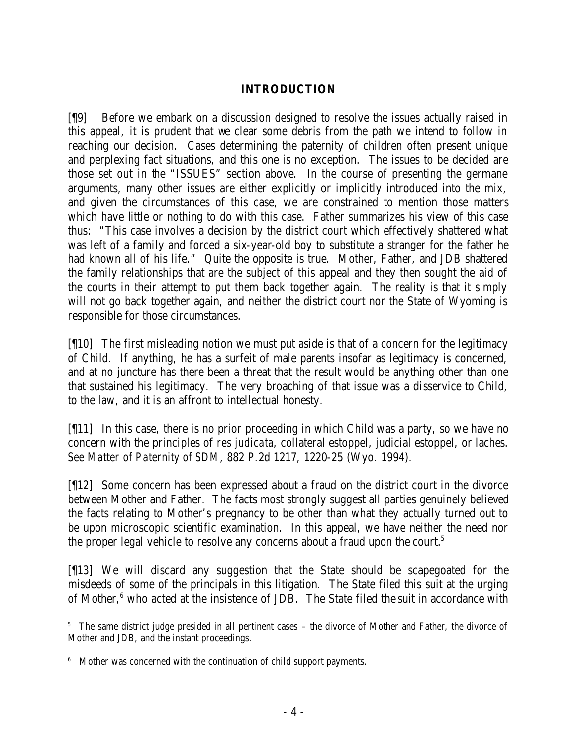### **INTRODUCTION**

[¶9] Before we embark on a discussion designed to resolve the issues actually raised in this appeal, it is prudent that we clear some debris from the path we intend to follow in reaching our decision. Cases determining the paternity of children often present unique and perplexing fact situations, and this one is no exception. The issues to be decided are those set out in the "ISSUES" section above. In the course of presenting the germane arguments, many other issues are either explicitly or implicitly introduced into the mix, and given the circumstances of this case, we are constrained to mention those matters which have little or nothing to do with this case. Father summarizes his view of this case thus: "This case involves a decision by the district court which effectively shattered what was left of a family and forced a six-year-old boy to substitute a stranger for the father he had known all of his life." Quite the opposite is true. Mother, Father, and JDB shattered the family relationships that are the subject of this appeal and they then sought the aid of the courts in their attempt to put them back together again. The reality is that it simply will not go back together again, and neither the district court nor the State of Wyoming is responsible for those circumstances.

[¶10] The first misleading notion we must put aside is that of a concern for the legitimacy of Child. If anything, he has a surfeit of male parents insofar as legitimacy is concerned, and at no juncture has there been a threat that the result would be anything other than one that sustained his legitimacy. The very broaching of that issue was a disservice to Child, to the law, and it is an affront to intellectual honesty.

[¶11] In this case, there is no prior proceeding in which Child was a party, so we have no concern with the principles of *res judicata*, collateral estoppel, judicial estoppel, or laches. *See Matter of Paternity of SDM*, 882 P.2d 1217, 1220-25 (Wyo. 1994).

[¶12] Some concern has been expressed about a fraud on the district court in the divorce between Mother and Father. The facts most strongly suggest all parties genuinely believed the facts relating to Mother's pregnancy to be other than what they actually turned out to be upon microscopic scientific examination. In this appeal, we have neither the need nor the proper legal vehicle to resolve any concerns about a fraud upon the court.<sup>5</sup>

[¶13] We will discard any suggestion that the State should be scapegoated for the misdeeds of some of the principals in this litigation. The State filed this suit at the urging of Mother,<sup>6</sup> who acted at the insistence of JDB. The State filed the suit in accordance with

<sup>&</sup>lt;sup>5</sup> The same district judge presided in all pertinent cases – the divorce of Mother and Father, the divorce of Mother and JDB, and the instant proceedings.

<sup>&</sup>lt;sup>6</sup> Mother was concerned with the continuation of child support payments.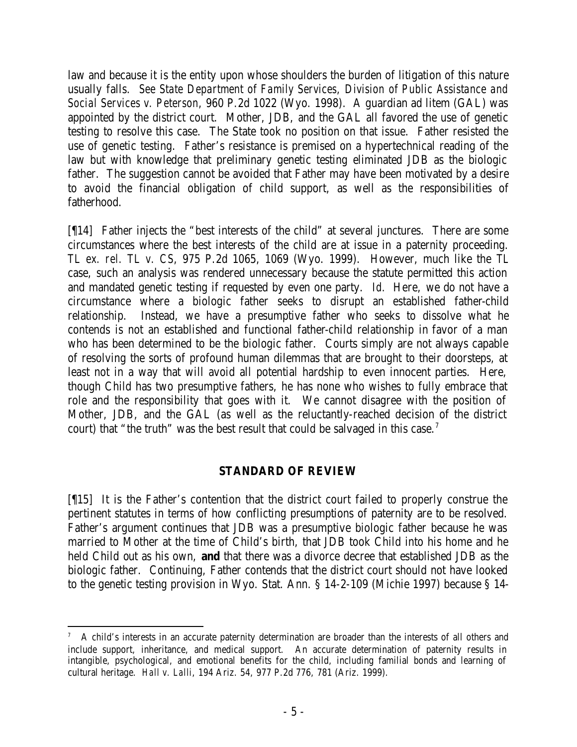law and because it is the entity upon whose shoulders the burden of litigation of this nature usually falls. *See State Department of Family Services, Division of Public Assistance and Social Services v. Peterson*, 960 P.2d 1022 (Wyo. 1998). A guardian ad litem (GAL) was appointed by the district court. Mother, JDB, and the GAL all favored the use of genetic testing to resolve this case. The State took no position on that issue. Father resisted the use of genetic testing. Father's resistance is premised on a hypertechnical reading of the law but with knowledge that preliminary genetic testing eliminated JDB as the biologic father. The suggestion cannot be avoided that Father may have been motivated by a desire to avoid the financial obligation of child support, as well as the responsibilities of fatherhood.

[¶14] Father injects the "best interests of the child" at several junctures. There are some circumstances where the best interests of the child are at issue in a paternity proceeding. *TL ex. rel. TL v. CS*, 975 P.2d 1065, 1069 (Wyo. 1999). However, much like the *TL* case, such an analysis was rendered unnecessary because the statute permitted this action and mandated genetic testing if requested by even one party. *Id.* Here, we do not have a circumstance where a biologic father seeks to disrupt an established father-child relationship. Instead, we have a presumptive father who seeks to dissolve what he contends is not an established and functional father-child relationship in favor of a man who has been determined to be the biologic father. Courts simply are not always capable of resolving the sorts of profound human dilemmas that are brought to their doorsteps, at least not in a way that will avoid all potential hardship to even innocent parties. Here, though Child has two presumptive fathers, he has none who wishes to fully embrace that role and the responsibility that goes with it. We cannot disagree with the position of Mother, JDB, and the GAL (as well as the reluctantly-reached decision of the district court) that "the truth" was the best result that could be salvaged in this case.<sup>7</sup>

## **STANDARD OF REVIEW**

[¶15] It is the Father's contention that the district court failed to properly construe the pertinent statutes in terms of how conflicting presumptions of paternity are to be resolved. Father's argument continues that JDB was a presumptive biologic father because he was married to Mother at the time of Child's birth, that JDB took Child into his home and he held Child out as his own, **and** that there was a divorce decree that established JDB as the biologic father. Continuing, Father contends that the district court should not have looked to the genetic testing provision in Wyo. Stat. Ann. § 14-2-109 (Michie 1997) because § 14-

 7 A child's interests in an accurate paternity determination are broader than the interests of all others and include support, inheritance, and medical support. An accurate determination of paternity results in intangible, psychological, and emotional benefits for the child, including familial bonds and learning of cultural heritage. *Hall v. Lalli*, 194 Ariz. 54, 977 P.2d 776, 781 (Ariz. 1999).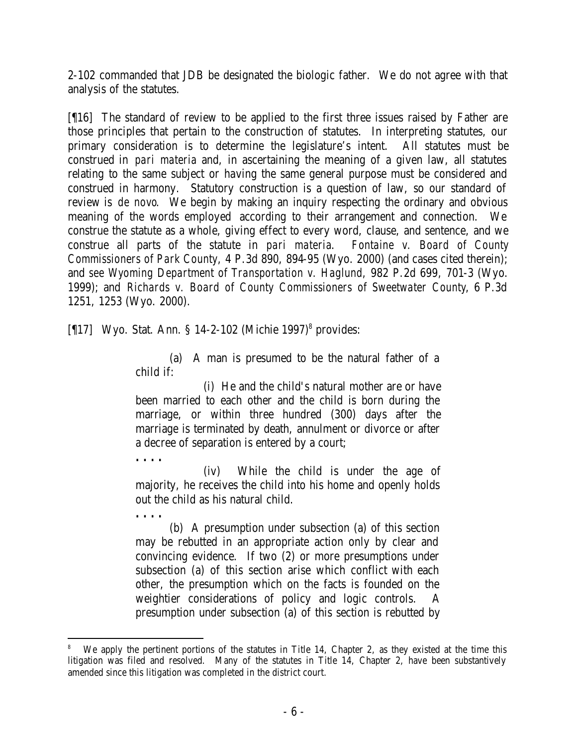2-102 commanded that JDB be designated the biologic father. We do not agree with that analysis of the statutes.

[¶16] The standard of review to be applied to the first three issues raised by Father are those principles that pertain to the construction of statutes. In interpreting statutes, our primary consideration is to determine the legislature's intent. All statutes must be construed in *pari materia* and, in ascertaining the meaning of a given law, all statutes relating to the same subject or having the same general purpose must be considered and construed in harmony. Statutory construction is a question of law, so our standard of review is *de novo*. We begin by making an inquiry respecting the ordinary and obvious meaning of the words employed according to their arrangement and connection. We construe the statute as a whole, giving effect to every word, clause, and sentence, and we construe all parts of the statute in *pari materia*. *Fontaine v. Board of County Commissioners of Park County*, 4 P.3d 890, 894-95 (Wyo. 2000) (and cases cited therein); and *see Wyoming Department of Transportation v. Haglund*, 982 P.2d 699, 701-3 (Wyo. 1999); and *Richards v. Board of County Commissioners of Sweetwater County*, 6 P.3d 1251, 1253 (Wyo. 2000).

[¶17] Wyo. Stat. Ann. § 14-2-102 (Michie 1997)<sup>8</sup> provides:

**. . . .**

**. . . .**

(a) A man is presumed to be the natural father of a child if:

(i) He and the child's natural mother are or have been married to each other and the child is born during the marriage, or within three hundred (300) days after the marriage is terminated by death, annulment or divorce or after a decree of separation is entered by a court;

(iv) While the child is under the age of majority, he receives the child into his home and openly holds out the child as his natural child.

(b) A presumption under subsection (a) of this section may be rebutted in an appropriate action only by clear and convincing evidence. If two (2) or more presumptions under subsection (a) of this section arise which conflict with each other, the presumption which on the facts is founded on the weightier considerations of policy and logic controls. A presumption under subsection (a) of this section is rebutted by

<sup>8</sup> We apply the pertinent portions of the statutes in Title 14, Chapter 2, as they existed at the time this litigation was filed and resolved. Many of the statutes in Title 14, Chapter 2, have been substantively amended since this litigation was completed in the district court.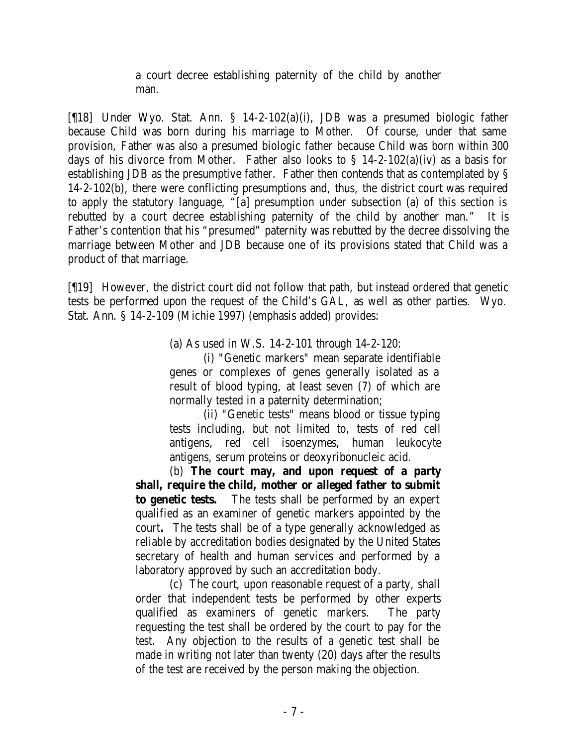a court decree establishing paternity of the child by another man.

[¶18] Under Wyo. Stat. Ann. § 14-2-102(a)(i), JDB was a presumed biologic father because Child was born during his marriage to Mother. Of course, under that same provision, Father was also a presumed biologic father because Child was born within 300 days of his divorce from Mother. Father also looks to  $\S$  14-2-102(a)(iv) as a basis for establishing JDB as the presumptive father. Father then contends that as contemplated by § 14-2-102(b), there were conflicting presumptions and, thus, the district court was required to apply the statutory language, "[a] presumption under subsection (a) of this section is rebutted by a court decree establishing paternity of the child by another man." It is Father's contention that his "presumed" paternity was rebutted by the decree dissolving the marriage between Mother and JDB because one of its provisions stated that Child was a product of that marriage.

[¶19] However, the district court did not follow that path, but instead ordered that genetic tests be performed upon the request of the Child's GAL, as well as other parties. Wyo. Stat. Ann. § 14-2-109 (Michie 1997) (emphasis added) provides:

(a) As used in W.S. 14-2-101 through 14-2-120:

(i) "Genetic markers" mean separate identifiable genes or complexes of genes generally isolated as a result of blood typing, at least seven (7) of which are normally tested in a paternity determination;

(ii) "Genetic tests" means blood or tissue typing tests including, but not limited to, tests of red cell antigens, red cell isoenzymes, human leukocyte antigens, serum proteins or deoxyribonucleic acid.

(b) **The court may, and upon request of a party shall, require the child, mother or alleged father to submit to genetic tests.** The tests shall be performed by an expert qualified as an examiner of genetic markers appointed by the court**.** The tests shall be of a type generally acknowledged as reliable by accreditation bodies designated by the United States secretary of health and human services and performed by a laboratory approved by such an accreditation body.

(c) The court, upon reasonable request of a party, shall order that independent tests be performed by other experts qualified as examiners of genetic markers. The party requesting the test shall be ordered by the court to pay for the test. Any objection to the results of a genetic test shall be made in writing not later than twenty (20) days after the results of the test are received by the person making the objection.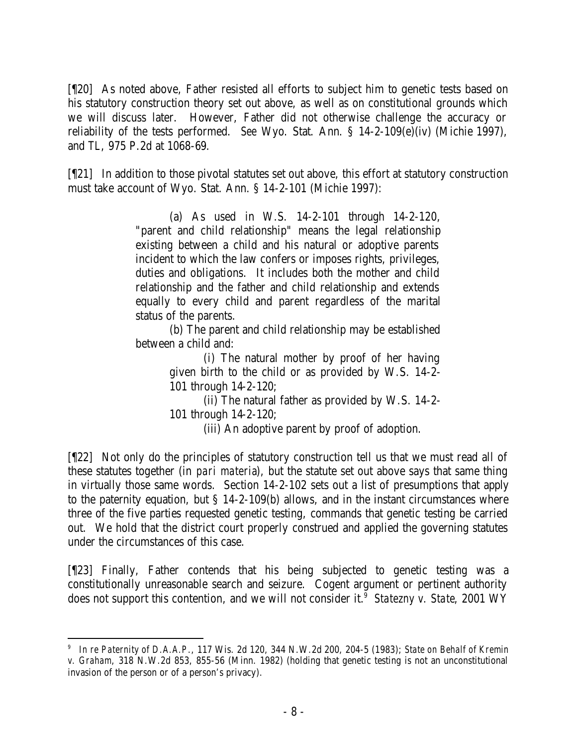[¶20] As noted above, Father resisted all efforts to subject him to genetic tests based on his statutory construction theory set out above, as well as on constitutional grounds which we will discuss later. However, Father did not otherwise challenge the accuracy or reliability of the tests performed. *See* Wyo. Stat. Ann. § 14-2-109(e)(iv) (Michie 1997), and *TL*, 975 P.2d at 1068-69.

[¶21] In addition to those pivotal statutes set out above, this effort at statutory construction must take account of Wyo. Stat. Ann. § 14-2-101 (Michie 1997):

> (a) As used in W.S. 14-2-101 through 14-2-120, "parent and child relationship" means the legal relationship existing between a child and his natural or adoptive parents incident to which the law confers or imposes rights, privileges, duties and obligations. It includes both the mother and child relationship and the father and child relationship and extends equally to every child and parent regardless of the marital status of the parents.

> (b) The parent and child relationship may be established between a child and:

> > (i) The natural mother by proof of her having given birth to the child or as provided by W.S. 14-2- 101 through 14-2-120;

(ii) The natural father as provided by W.S. 14-2- 101 through 14-2-120;

(iii) An adoptive parent by proof of adoption.

[¶22] Not only do the principles of statutory construction tell us that we must read all of these statutes together (in *pari materia*), but the statute set out above says that same thing in virtually those same words. Section 14-2-102 sets out a list of presumptions that apply to the paternity equation, but § 14-2-109(b) allows, and in the instant circumstances where three of the five parties requested genetic testing, commands that genetic testing be carried out. We hold that the district court properly construed and applied the governing statutes under the circumstances of this case.

[¶23] Finally, Father contends that his being subjected to genetic testing was a constitutionally unreasonable search and seizure. Cogent argument or pertinent authority does not support this contention, and we will not consider it.<sup>9</sup> Statezny v. State, 2001 WY

<sup>9</sup> *In re Paternity of D.A.A.P*., 117 Wis. 2d 120, 344 N.W.2d 200, 204-5 (1983); *State on Behalf of Kremin* 

*v. Graham*, 318 N.W.2d 853, 855-56 (Minn. 1982) (holding that genetic testing is not an unconstitutional invasion of the person or of a person's privacy).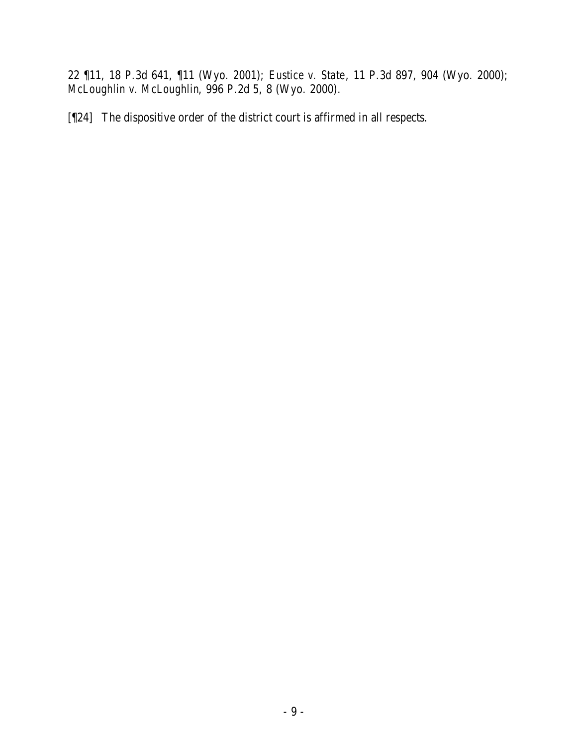22 ¶11, 18 P.3d 641, ¶11 (Wyo. 2001); *Eustice v. State*, 11 P.3d 897, 904 (Wyo. 2000); *McLoughlin v. McLoughlin*, 996 P.2d 5, 8 (Wyo. 2000).

[¶24] The dispositive order of the district court is affirmed in all respects.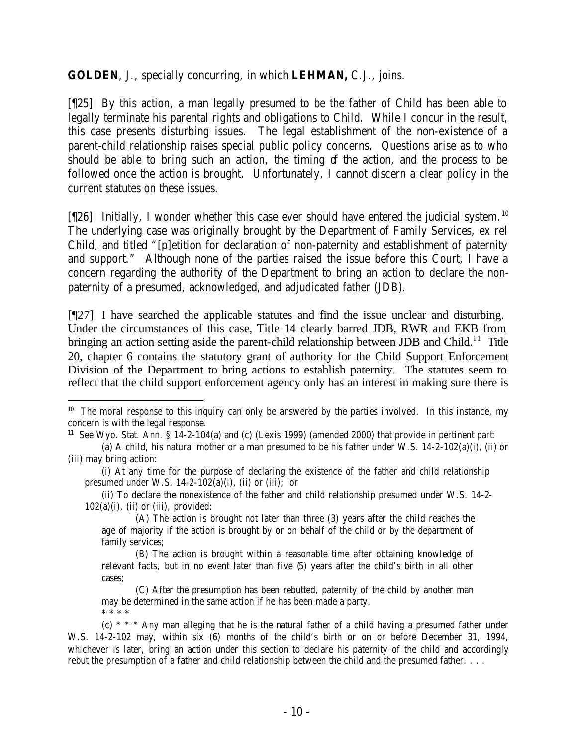**GOLDEN**, J., specially concurring, in which **LEHMAN,** C.J., joins.

[¶25] By this action, a man legally presumed to be the father of Child has been able to legally terminate his parental rights and obligations to Child. While I concur in the result, this case presents disturbing issues. The legal establishment of the non-existence of a parent-child relationship raises special public policy concerns. Questions arise as to who should be able to bring such an action, the timing of the action, and the process to be followed once the action is brought. Unfortunately, I cannot discern a clear policy in the current statutes on these issues.

[[26] Initially, I wonder whether this case ever should have entered the judicial system.<sup>10</sup> The underlying case was originally brought by the Department of Family Services, ex rel Child, and titled "[p]etition for declaration of non-paternity and establishment of paternity and support." Although none of the parties raised the issue before this Court, I have a concern regarding the authority of the Department to bring an action to declare the nonpaternity of a presumed, acknowledged, and adjudicated father (JDB).

[¶27] I have searched the applicable statutes and find the issue unclear and disturbing. Under the circumstances of this case, Title 14 clearly barred JDB, RWR and EKB from bringing an action setting aside the parent-child relationship between JDB and Child.<sup>11</sup> Title 20, chapter 6 contains the statutory grant of authority for the Child Support Enforcement Division of the Department to bring actions to establish paternity. The statutes seem to reflect that the child support enforcement agency only has an interest in making sure there is

(ii) To declare the nonexistence of the father and child relationship presumed under W.S. 14-2-  $102(a)(i)$ , (ii) or (iii), provided:

(A) The action is brought not later than three (3) years after the child reaches the age of majority if the action is brought by or on behalf of the child or by the department of family services;

(B) The action is brought within a reasonable time after obtaining knowledge of relevant facts, but in no event later than five (5) years after the child's birth in all other cases;

(C) After the presumption has been rebutted, paternity of the child by another man may be determined in the same action if he has been made a party. \* \* \* \*

(c)  $* * *$  Any man alleging that he is the natural father of a child having a presumed father under W.S. 14-2-102 may, within six (6) months of the child's birth or on or before December 31, 1994, whichever is later, bring an action under this section to declare his paternity of the child and accordingly rebut the presumption of a father and child relationship between the child and the presumed father. . . .

  $10$  The moral response to this inquiry can only be answered by the parties involved. In this instance, my concern is with the legal response.

<sup>&</sup>lt;sup>11</sup> See Wyo. Stat. Ann. §  $14-2-104(a)$  and (c) (Lexis 1999) (amended 2000) that provide in pertinent part:

<sup>(</sup>a) A child, his natural mother or a man presumed to be his father under W.S. 14-2-102(a)(i), (ii) or (iii) may bring action:

<sup>(</sup>i) At any time for the purpose of declaring the existence of the father and child relationship presumed under W.S.  $14-2-102(a)(i)$ , (ii) or (iii); or